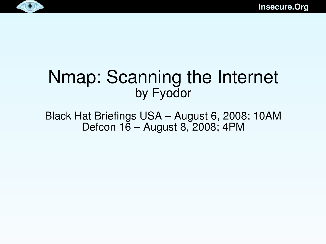



#### Nmap: Scanning the Internet by Fyodor

Black Hat Briefings USA – August 6, 2008; 10AM Defcon 16 – August 8, 2008; 4PM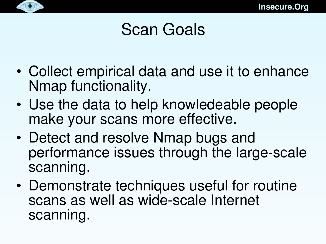

## Scan Goals

- Collect empirical data and use it to enhance Nmap functionality.
- Use the data to help knowledeable people make your scans more effective.
- Detect and resolve Nmap bugs and performance issues through the large-scale scanning.
- Demonstrate techniques useful for routine scans as well as wide-scale Internet scanning.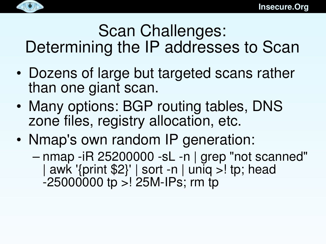

#### Scan Challenges: Determining the IP addresses to Scan

- Dozens of large but targeted scans rather than one giant scan.
- Many options: BGP routing tables, DNS zone files, registry allocation, etc.
- Nmap's own random IP generation:
	- nmap -iR 25200000 -sL -n | grep "not scanned" | awk '{print \$2}' | sort -n | uniq >! tp; head  $-250000000$  tp  $>125M$ -IPs; rm tp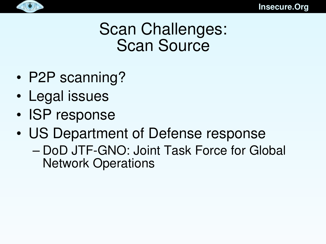

### Scan Challenges: Scan Source

- P2P scanning?
- Legal issues
- ISP response
- US Department of Defense response
	- DoD JTF-GNO: Joint Task Force for Global Network Operations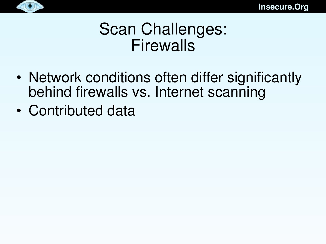

#### Scan Challenges: Firewalls

- Network conditions often differ significantly behind firewalls vs. Internet scanning
- Contributed data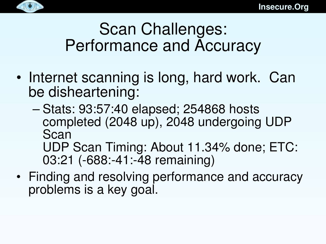

## Scan Challenges: Performance and Accuracy

- Internet scanning is long, hard work. Can be disheartening:
	- Stats: 93:57:40 elapsed; 254868 hosts completed (2048 up), 2048 undergoing UDP Scan UDP Scan Timing: About 11.34% done; ETC: 03:21 (-688:-41:-48 remaining)
- Finding and resolving performance and accuracy problems is a key goal.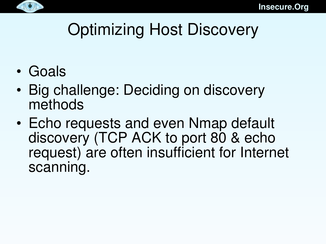

# Optimizing Host Discovery

- Goals
- Big challenge: Deciding on discovery methods
- Echo requests and even Nmap default discovery (TCP ACK to port 80 & echo request) are often insufficient for Internet scanning.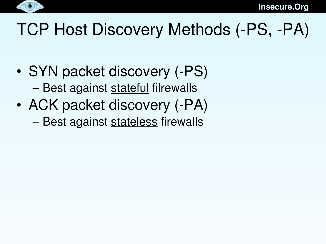

# TCP Host Discovery Methods (-PS, -PA)

- SYN packet discovery (-PS) – Best against stateful filrewalls
- ACK packet discovery (-PA) – Best against stateless firewalls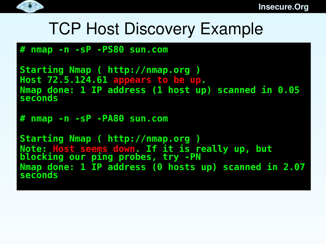

## TCP Host Discovery Example

#### **# nmap -n -sP -PS80 sun.com**

```
Starting Nmap ( http://nmap.org )
Host 72.5.124.61 appears to be up.
Nmap done: 1 IP address (1 host up) scanned in 0.05 
seconds
```
**# nmap -n -sP -PA80 sun.com**

**Starting Nmap ( http://nmap.org ) Note: Host seems down. If it is really up, but blocking our ping probes, try -PN Nmap done: 1 IP address (0 hosts up) scanned in 2.07 seconds**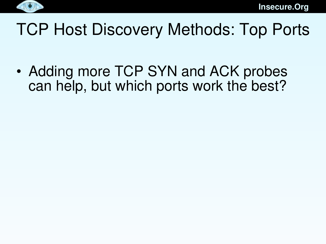

# TCP Host Discovery Methods: Top Ports

• Adding more TCP SYN and ACK probes can help, but which ports work the best?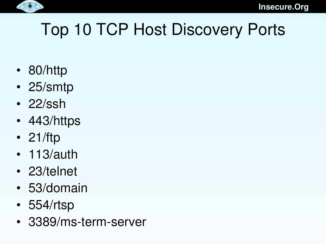

# Top 10 TCP Host Discovery Ports

- 80/http
- 25/smtp
- 22/ssh
- 443/https
- 21/ftp
- 113/auth
- 23/telnet
- 53/domain
- 554/rtsp
- 3389/ms-term-server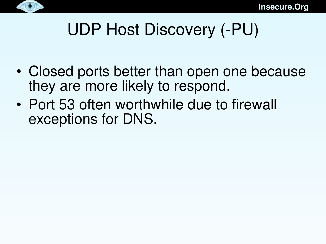

# UDP Host Discovery (-PU)

- Closed ports better than open one because they are more likely to respond.
- Port 53 often worthwhile due to firewall exceptions for DNS.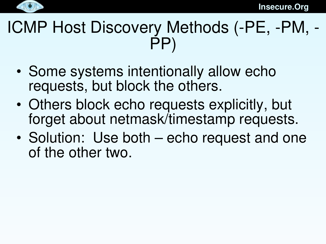

## ICMP Host Discovery Methods (-PE, -PM, -PP)

- Some systems intentionally allow echo requests, but block the others.
- Others block echo requests explicitly, but forget about netmask/timestamp requests.
- Solution: Use both echo request and one of the other two.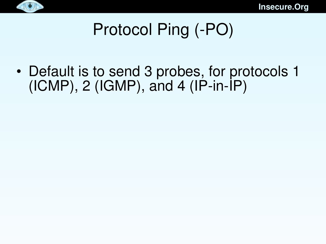



# Protocol Ping (-PO)

• Default is to send 3 probes, for protocols 1  $(ICMP)$ , 2  $(IGMP)$ , and 4  $(IP-in-IP)$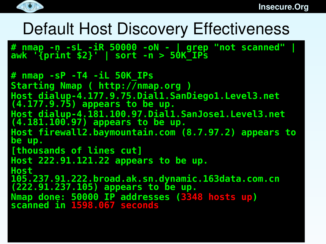

#### Default Host Discovery Effectiveness

**# nmap -n -sL -iR 50000 -oN - | grep "not scanned" | awk '{print \$2}' | sort -n > 50K\_IPs**

```
# nmap -sP -T4 -iL 50K_IPs
Starting Nmap ( http://nmap.org )
Host dialup-4.177.9.75.Dial1.SanDiego1.Level3.net 
(4.177.9.75) appears to be up.
Host dialup-4.181.100.97.Dial1.SanJose1.Level3.net 
(4.181.100.97) appears to be up.
Host firewall2.baymountain.com (8.7.97.2) appears to 
be up.
[thousands of lines cut]
Host 222.91.121.22 appears to be up.
Host 
105.237.91.222.broad.ak.sn.dynamic.163data.com.cn 
(222.91.237.105) appears to be up.
Nmap done: 50000 IP addresses (3348 hosts up) 
scanned in 1598.067 seconds
```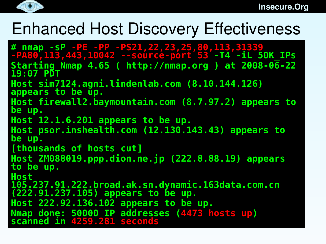

## Enhanced Host Discovery Effectiveness

**# nmap -sP -PE -PP -PS21,22,23,25,80,113,31339 -PA80,113,443,10042 --source-port 53 -T4 -iL 50K\_IPs Starting Nmap 4.65 ( http://nmap.org ) at 2008-06-22 19:07 PDT Host sim7124.agni.lindenlab.com (8.10.144.126) appears to be up. Host firewall2.baymountain.com (8.7.97.2) appears to be up. Host 12.1.6.201 appears to be up. Host psor.inshealth.com (12.130.143.43) appears to be up. [thousands of hosts cut] Host ZM088019.ppp.dion.ne.jp (222.8.88.19) appears to be up. Host 105.237.91.222.broad.ak.sn.dynamic.163data.com.cn (222.91.237.105) appears to be up. Host 222.92.136.102 appears to be up. Nmap done: 50000 IP addresses (4473 hosts up) scanned in 4259.281 seconds**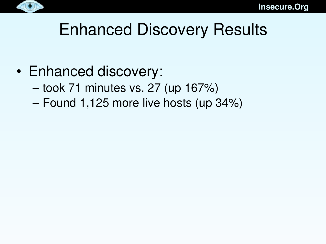

# Enhanced Discovery Results

- Enhanced discovery:
	- took 71 minutes vs. 27 (up 167%)
	- Found 1,125 more live hosts (up 34%)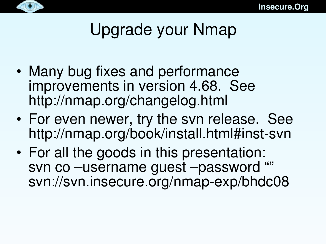

# Upgrade your Nmap

- Many bug fixes and performance improvements in version 4.68. See http://nmap.org/changelog.html
- For even newer, try the svn release. See http://nmap.org/book/install.html#inst-svn
- For all the goods in this presentation: svn co –username guest –password "" svn://svn.insecure.org/nmap-exp/bhdc08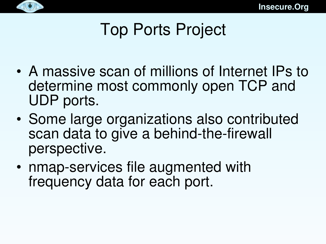

# Top Ports Project

- A massive scan of millions of Internet IPs to determine most commonly open TCP and UDP ports.
- Some large organizations also contributed scan data to give a behind-the-firewall perspective.
- nmap-services file augmented with frequency data for each port.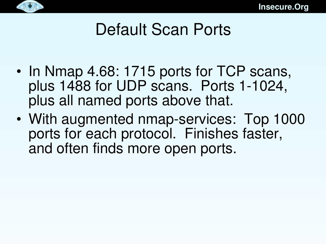

# Default Scan Ports

- In Nmap 4.68: 1715 ports for TCP scans, plus 1488 for UDP scans. Ports 1-1024, plus all named ports above that.
- With augmented nmap-services: Top 1000 ports for each protocol. Finishes faster, and often finds more open ports.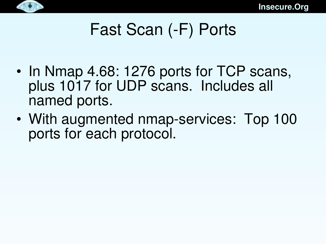

# Fast Scan (-F) Ports

- In Nmap 4.68: 1276 ports for TCP scans, plus 1017 for UDP scans. Includes all named ports.
- With augmented nmap-services: Top 100 ports for each protocol.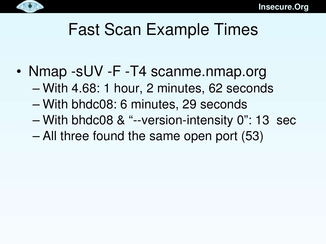

# Fast Scan Example Times

- Nmap -sUV -F -T4 scanme.nmap.org
	- With 4.68: 1 hour, 2 minutes, 62 seconds
	- With bhdc08: 6 minutes, 29 seconds
	- $-$  With bhdc08 & "--version-intensity 0": 13 sec
	- All three found the same open port (53)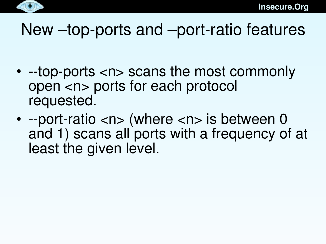

#### New  $-$ top-ports and  $-$ port-ratio features

- -top-ports <n> scans the most commonly open <n> ports for each protocol requested.
- --port-ratio  $\langle n \rangle$  (where  $\langle n \rangle$  is between 0 and 1) scans all ports with a frequency of at least the given level.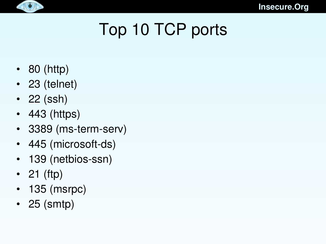

# Top 10 TCP ports

- 80 (http)
- 23 (telnet)
- 22 (ssh)
- 443 (https)
- 3389 (ms-term-serv)
- 445 (microsoft-ds)
- 139 (netbios-ssn)
- 21 (ftp)
- 135 (msrpc)
- 25 (smtp)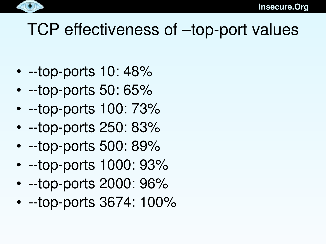

# TCP effectiveness of -top-port values

- $\cdot$  --top-ports 10: 48%
- $\cdot$  --top-ports 50: 65%
- $\cdot$  --top-ports 100: 73%
- $\cdot$  --top-ports 250: 83%
- $\cdot$  --top-ports 500: 89%
- $-top-ports$  1000: 93%
- $-top-ports 2000: 96%$
- $-top-ports$  3674: 100%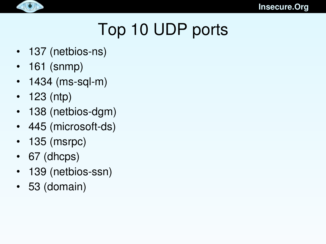

# Top 10 UDP ports

- $\cdot$  137 (netbios-ns)
- 161 (snmp)
- $\cdot$  1434 (ms-sql-m)
- 123 (ntp)
- 138 (netbios-dgm)
- 445 (microsoft-ds)
- 135 (msrpc)
- 67 (dhcps)
- 139 (netbios-ssn)
- 53 (domain)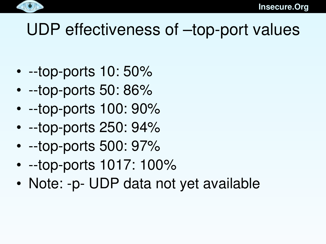

## $UDP$  effectiveness of  $-$ top-port values

- $\cdot$  --top-ports 10: 50%
- $\cdot$  --top-ports 50: 86%
- $\cdot$  --top-ports 100: 90%
- $\cdot$  --top-ports 250: 94%
- $\cdot$  --top-ports 500: 97%
- $-top-ports$  1017: 100%
- Note: -p- UDP data not yet available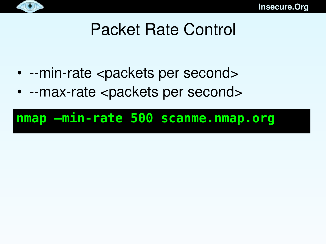

# Packet Rate Control

- --min-rate <packets per second>
- --max-rate <packets per second>

#### **nmap –min-rate 500 scanme.nmap.org**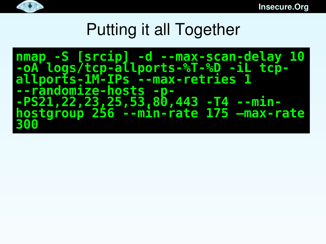

# Putting it all Together

**nmap -S [srcip] -d --max-scan-delay 10 -oA logs/tcp-allports-%T-%D -iL tcpallports-1M-IPs --max-retries 1 --randomize-hosts -p- -PS21,22,23,25,53,80,443 -T4 --minhostgroup 256 --min-rate 175 –max-rate 300**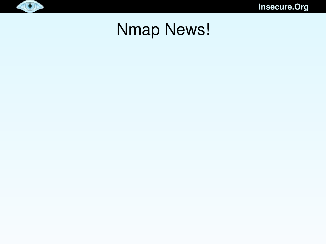

### Nmap News!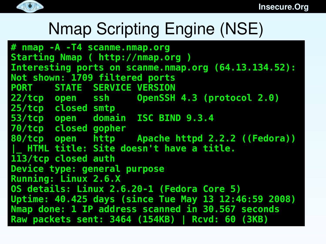

## Nmap Scripting Engine (NSE)

```
# nmap -A -T4 scanme.nmap.org
Starting Nmap ( http://nmap.org )
Interesting ports on scanme.nmap.org (64.13.134.52):
Not shown: 1709 filtered ports
PORT STATE SERVICE VERSION
22/tcp open ssh OpenSSH 4.3 (protocol 2.0)
25/tcp closed smtp
53/tcp open domain ISC BIND 9.3.4
70/tcp closed gopher
80/tcp open http Apache httpd 2.2.2 ((Fedora))
 |_ HTML title: Site doesn't have a title.
113/tcp closed auth
Device type: general purpose
Running: Linux 2.6.X
OS details: Linux 2.6.20-1 (Fedora Core 5)
Uptime: 40.425 days (since Tue May 13 12:46:59 2008)
Nmap done: 1 IP address scanned in 30.567 seconds
Raw packets sent: 3464 (154KB) | Rcvd: 60 (3KB)
```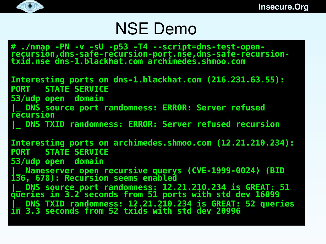

#### $\bullet$

## NSE Demo

**# ./nmap -PN -v -sU -p53 -T4 --script=dns-test-openrecursion,dns-safe-recursion-port.nse,dns-safe-recursiontxid.nse dns-1.blackhat.com archimedes.shmoo.com**

**Interesting ports on dns-1.blackhat.com (216.231.63.55): PORT STATE SERVICE**

**53/udp open domain**

**DNS source port randomness: ERROR: Server refused recursion**

**|\_ DNS TXID randomness: ERROR: Server refused recursion**

**Interesting ports on archimedes.shmoo.com (12.21.210.234): PORT STATE SERVICE**

**53/udp open domain**

**|\_ Nameserver open recursive querys (CVE-1999-0024) (BID 136, 678): Recursion seems enabled**

**|\_ DNS source port randomness: 12.21.210.234 is GREAT: 51 queries in 3.2 seconds from 51 ports with std dev 16099 |\_ DNS TXID randomness: 12.21.210.234 is GREAT: 52 queries in 3.3 seconds from 52 txids with std dev 20996**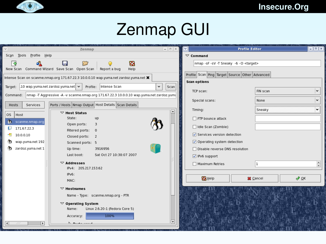

## Zenmap GUI

| Zenmap                                                                                              | $=$ $E$        | $ \mathbf{v} $<br><b>Profile Editor</b>        | $\Box$ e $\Box$ |
|-----------------------------------------------------------------------------------------------------|----------------|------------------------------------------------|-----------------|
| Profile Help<br>Sc <u>a</u> n <u>T</u> ools                                                         |                | $\triangledown$ Command                        |                 |
| B<br>¦ o<br>o.                                                                                      |                | nmap -sF -sV -T Sneaky -6 -O <target></target> |                 |
| New Scan Command Wizard Save Scan Open Scan<br>Help<br>Report a bug                                 |                |                                                |                 |
| Intense Scan on scanme.nmap.org 171.67.22.3 10.0.0.10 wap.yuma.net zardoz.yuma.net X                |                | Profile Scan Ping Target Source Other Advanced |                 |
| .10 wap.yuma.net zardoz.yuma.net $\blacktriangleright$<br>Profile: Intense Scan<br>٠<br>Target:     | Scan           | <b>Scan options</b>                            |                 |
|                                                                                                     |                | FIN scan<br>TCP scan:                          |                 |
| nmap -T Aggressive -A -v scanme.nmap.org 171.67.22.3 10.0.0.10 wap.yuma.net zardoz.yuma<br>Command: |                | None<br>Special scans:                         | ٠               |
| Ports / Hosts Nmap Output Host Details Scan Details<br>Services<br>Hosts                            |                |                                                |                 |
| $\nabla$ Host Status<br>OS Host                                                                     |                | Sneaky<br>Timing:                              | ٠               |
| State:<br>up<br><b>M</b><br>scanme.nmap.org                                                         |                | $\Box$ FTP bounce attack                       |                 |
| Open ports:<br>3<br>171.67.22.3                                                                     |                | Idle Scan (Zombie)                             |                 |
| Filtered ports:<br>$\circ$<br>10.0.0.10<br>41                                                       |                | √ Services version detection                   |                 |
| Closed ports:<br>$\overline{2}$<br>wap.yuma.net 192<br>Scanned ports: 5                             |                | Operating system detection                     |                 |
| zardoz.yuma.net 1<br>3916956<br>Up time:                                                            |                | □ Disable reverse DNS resolution               |                 |
| Sat Oct 27 10:38:07 2007<br>Last boot:                                                              |                | √ IPv6 support                                 |                 |
| $\triangledown$ Addresses                                                                           |                | Maximum Retries<br>ı                           | $\frac{1}{x}$   |
| IPv4: 205.217.153.62                                                                                |                |                                                |                 |
| IPv6:                                                                                               |                | <b>B</b> Help<br>$\sqrt{2}$ OK<br>X Cancel     |                 |
| MAC:                                                                                                |                |                                                |                 |
| $\triangledown$ Hostnames                                                                           |                |                                                |                 |
| Name - Type: scanme.nmap.org - PTR                                                                  |                |                                                |                 |
| $\triangledown$ Operating System                                                                    |                |                                                |                 |
| Linux 2.6.20-1 (Fedora Core 5)<br>Name:                                                             |                |                                                |                 |
| 100%<br>Accuracy:                                                                                   |                |                                                |                 |
| $\overline{ \cdot }$<br>$\blacktriangleright$<br>111<br><u>N Banka maad</u>                         | $ \mathbf{v} $ |                                                |                 |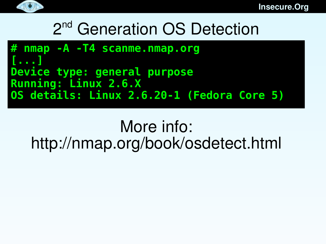

# 2<sup>nd</sup> Generation OS Detection

```
# nmap -A -T4 scanme.nmap.org
[...]
Device type: general purpose
Running: Linux 2.6.X
OS details: Linux 2.6.20-1 (Fedora Core 5)
```
#### More info: http://nmap.org/book/osdetect.html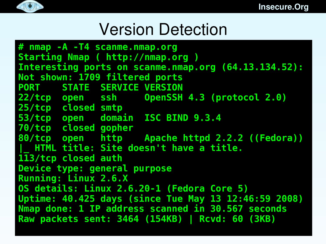

#### Version Detection

ning: Linux 2.6.X<br>details: Linux 2.6.20-1 (Fedor Uptime: 40.425 days (since lue May 13 12:46:59 2008)<br>Nmap done: 1 IP address scanned in 30.567 seconds **# nmap -A -T4 scanme.nmap.org Starting Nmap ( http://nmap.org ) Interesting ports on scanme.nmap.org (64.13.134.52): Not shown: 1709 filtered ports PORT STATE SERVICE VERSION 22/tcp open ssh OpenSSH 4.3 (protocol 2.0) 25/tcp closed smtp 53/tcp open domain ISC BIND 9.3.4 70/tcp closed gopher 80/tcp open http Apache httpd 2.2.2 ((Fedora)) |\_ HTML title: Site doesn't have a title. 113/tcp closed auth Device type: general purpose Running: Linux 2.6.X OS details: Linux 2.6.20-1 (Fedora Core 5) Uptime: 40.425 days (since Tue May 13 12:46:59 2008) Raw packets sent: 3464 (154KB) | Rcvd: 60 (3KB)**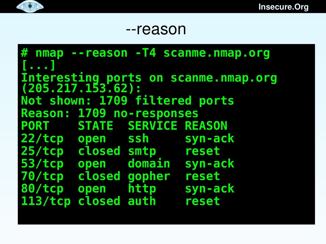#### $\bullet$

#### --reason

**# nmap --reason -T4 scanme.nmap.org [...] Interesting ports on scanme.nmap.org (205.217.153.62): Not shown: 1709 filtered ports Reason: 1709 no-responses PORT STATE SERVICE REASON 22/tcp open ssh syn-ack 25/tcp closed smtp reset 53/tcp open domain syn-ack 70/tcp closed gopher reset 80/tcp open http syn-ack 113/tcp closed auth reset**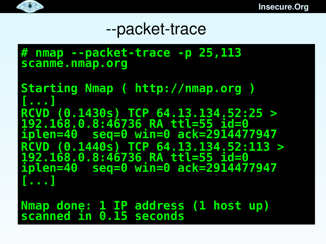

#### --packet-trace

**# nmap --packet-trace -p 25,113 scanme.nmap.org**

**Starting Nmap ( http://nmap.org ) [...] RCVD (0.1430s) TCP 64.13.134.52:25 > 192.168.0.8:46736 RA ttl=55 id=0 iplen=40 seq=0 win=0 ack=2914477947 RCVD (0.1440s) TCP 64.13.134.52:113 > 192.168.0.8:46736 RA ttl=55 id=0 iplen=40 seq=0 win=0 ack=2914477947 [...]**

**Nmap done: 1 IP address (1 host up) scanned in 0.15 seconds**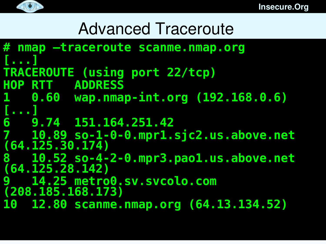

# Advanced Traceroute

```
# nmap –traceroute scanme.nmap.org
[...]
TRACEROUTE (using port 22/tcp)
HOP RTT ADDRESS
1 0.60 wap.nmap-int.org (192.168.0.6)
[...]
6 9.74 151.164.251.42
7 10.89 so-1-0-0.mpr1.sjc2.us.above.net 
(64.125.30.174)
8 10.52 so-4-2-0.mpr3.pao1.us.above.net 
(64.125.28.142)
9 14.25 metro0.sv.svcolo.com 
(208.185.168.173)
10 12.80 scanme.nmap.org (64.13.134.52)
```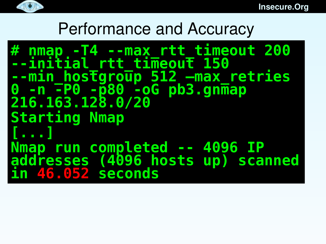

#### Performance and Accuracy

**# nmap -T4 --max\_rtt\_timeout 200 --initial\_rtt\_timeout 150 --min\_hostgroup 512 –max\_retries 0 -n -P0 -p80 -oG pb3.gnmap 216.163.128.0/20 Starting Nmap [...] Nmap run completed -- 4096 IP addresses (4096 hosts up) scanned in 46.052 seconds**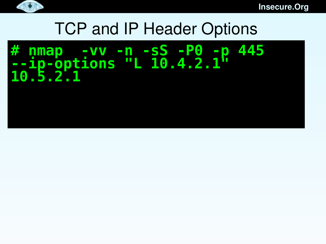

### TCP and IP Header Options

#### **# nmap -vv -n -sS -P0 -p 445 --ip-options "L 10.4.2.1" 10.5.2.1**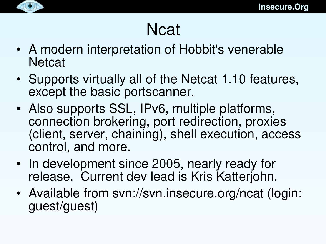

### **Ncat**

- A modern interpretation of Hobbit's venerable **Netcat**
- Supports virtually all of the Netcat 1.10 features, except the basic portscanner.
- Also supports SSL, IPv6, multiple platforms, connection brokering, port redirection, proxies (client, server, chaining), shell execution, access control, and more.
- In development since 2005, nearly ready for release. Current dev lead is Kris Katterjohn.
- Available from svn://svn.insecure.org/ncat (login: guest/guest)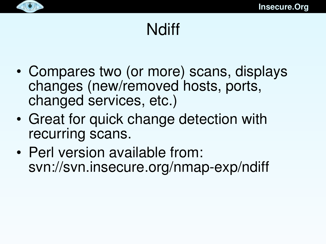

### **Ndiff**

- Compares two (or more) scans, displays changes (new/removed hosts, ports, changed services, etc.)
- Great for quick change detection with recurring scans.
- Perl version available from: svn://svn.insecure.org/nmap-exp/ndiff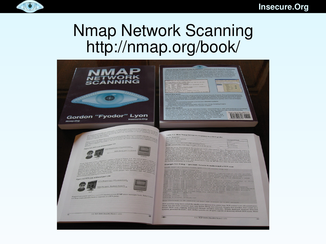

#### Nmap Network Scanning http://nmap.org/book/

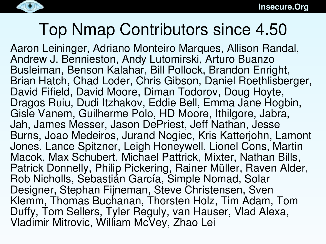

## Top Nmap Contributors since 4.50

Aaron Leininger, Adriano Monteiro Marques, Allison Randal, Andrew J. Bennieston, Andy Lutomirski, Arturo Buanzo Busleiman, Benson Kalahar, Bill Pollock, Brandon Enright, Brian Hatch, Chad Loder, Chris Gibson, Daniel Roethlisberger, David Fifield, David Moore, Diman Todorov, Doug Hoyte, Dragos Ruiu, Dudi Itzhakov, Eddie Bell, Emma Jane Hogbin, Gisle Vanem, Guilherme Polo, HD Moore, Ithilgore, Jabra, Jah, James Messer, Jason DePriest, Jeff Nathan, Jesse Burns, Joao Medeiros, Jurand Nogiec, Kris Katterjohn, Lamont Jones, Lance Spitzner, Leigh Honeywell, Lionel Cons, Martin Macok, Max Schubert, Michael Pattrick, Mixter, Nathan Bills, Patrick Donnelly, Philip Pickering, Rainer Müller, Raven Alder, Rob Nicholls, Sebastián García, Simple Nomad, Solar Designer, Stephan Fijneman, Steve Christensen, Sven Klemm, Thomas Buchanan, Thorsten Holz, Tim Adam, Tom Duffy, Tom Sellers, Tyler Reguly, van Hauser, Vlad Alexa, Vladimir Mitrovic, William McVey, Zhao Lei